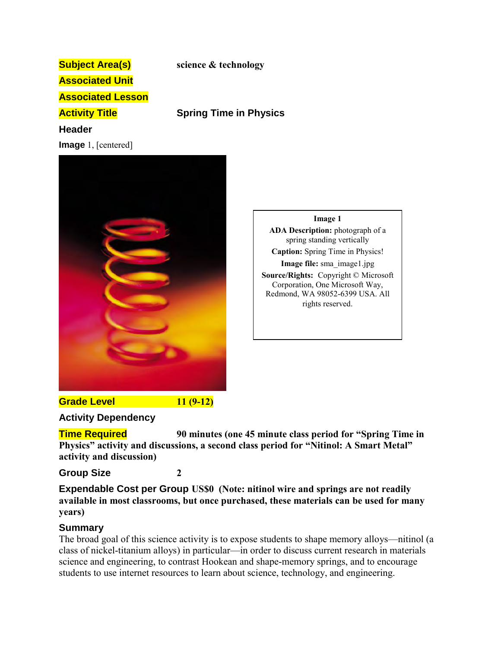# **Subject Area(s) science & technology Associated Unit Associated Lesson Activity Title Spring Time in Physics Header Image** 1, [centered]



**Image 1 ADA Description:** photograph of a spring standing vertically **Caption:** Spring Time in Physics! **Image file:** sma\_image1.jpg **Source/Rights:** Copyright © Microsoft Corporation, One Microsoft Way, Redmond, WA 98052-6399 USA. All rights reserved.

**Grade Level 11 (9-12)**

### **Activity Dependency**

**Time Required 90 minutes (one 45 minute class period for "Spring Time in Physics" activity and discussions, a second class period for "Nitinol: A Smart Metal" activity and discussion)**

## **Group Size 2**

**Expendable Cost per Group US\$0 (Note: nitinol wire and springs are not readily available in most classrooms, but once purchased, these materials can be used for many years)**

## **Summary**

The broad goal of this science activity is to expose students to shape memory alloys—nitinol (a class of nickel-titanium alloys) in particular—in order to discuss current research in materials science and engineering, to contrast Hookean and shape-memory springs, and to encourage students to use internet resources to learn about science, technology, and engineering.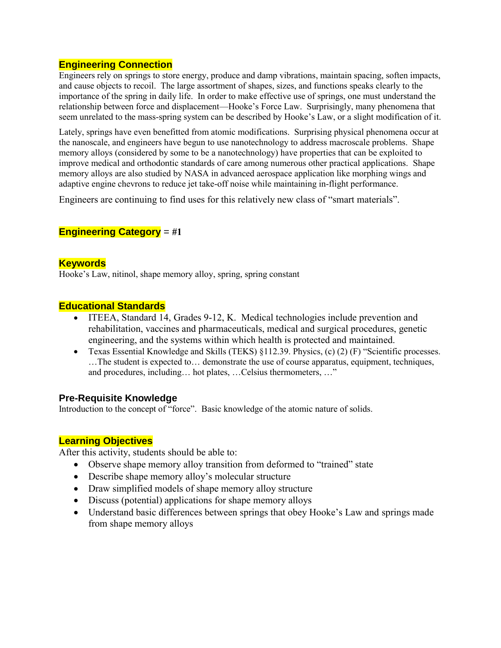## **Engineering Connection**

Engineers rely on springs to store energy, produce and damp vibrations, maintain spacing, soften impacts, and cause objects to recoil. The large assortment of shapes, sizes, and functions speaks clearly to the importance of the spring in daily life. In order to make effective use of springs, one must understand the relationship between force and displacement—Hooke's Force Law. Surprisingly, many phenomena that seem unrelated to the mass-spring system can be described by Hooke's Law, or a slight modification of it.

Lately, springs have even benefitted from atomic modifications. Surprising physical phenomena occur at the nanoscale, and engineers have begun to use nanotechnology to address macroscale problems. Shape memory alloys (considered by some to be a nanotechnology) have properties that can be exploited to improve medical and orthodontic standards of care among numerous other practical applications. Shape memory alloys are also studied by NASA in advanced aerospace application like morphing wings and adaptive engine chevrons to reduce jet take-off noise while maintaining in-flight performance.

Engineers are continuing to find uses for this relatively new class of "smart materials".

## **Engineering Category** = **#1**

## **Keywords**

Hooke's Law, nitinol, shape memory alloy, spring, spring constant

### **Educational Standards**

- ITEEA, Standard 14, Grades 9-12, K. Medical technologies include prevention and rehabilitation, vaccines and pharmaceuticals, medical and surgical procedures, genetic engineering, and the systems within which health is protected and maintained.
- Texas Essential Knowledge and Skills (TEKS) §112.39. Physics, (c) (2) (F) "Scientific processes. …The student is expected to… demonstrate the use of course apparatus, equipment, techniques, and procedures, including… hot plates, …Celsius thermometers, …"

### **Pre-Requisite Knowledge**

Introduction to the concept of "force". Basic knowledge of the atomic nature of solids.

### **Learning Objectives**

After this activity, students should be able to:

- Observe shape memory alloy transition from deformed to "trained" state
- Describe shape memory alloy's molecular structure
- Draw simplified models of shape memory alloy structure
- Discuss (potential) applications for shape memory alloys
- Understand basic differences between springs that obey Hooke's Law and springs made from shape memory alloys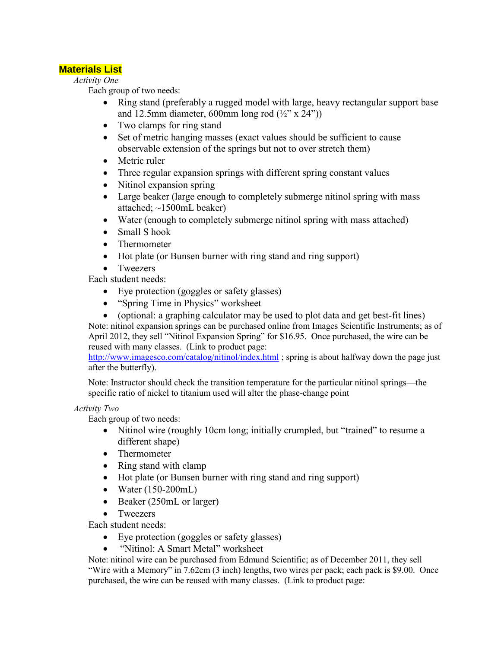## **Materials List**

*Activity One* 

Each group of two needs:

- Ring stand (preferably a rugged model with large, heavy rectangular support base and 12.5mm diameter, 600mm long rod  $(\frac{1}{2}$ " x 24"))
- Two clamps for ring stand
- Set of metric hanging masses (exact values should be sufficient to cause observable extension of the springs but not to over stretch them)
- Metric ruler
- Three regular expansion springs with different spring constant values
- Nitinol expansion spring
- Large beaker (large enough to completely submerge nitinol spring with mass attached; ~1500mL beaker)
- Water (enough to completely submerge nitinol spring with mass attached)
- Small S hook
- Thermometer
- Hot plate (or Bunsen burner with ring stand and ring support)
- Tweezers

Each student needs:

- Eye protection (goggles or safety glasses)
- "Spring Time in Physics" worksheet
- (optional: a graphing calculator may be used to plot data and get best-fit lines) Note: nitinol expansion springs can be purchased online from Images Scientific Instruments; as of April 2012, they sell "Nitinol Expansion Spring" for \$16.95. Once purchased, the wire can be reused with many classes. (Link to product page:

<http://www.imagesco.com/catalog/nitinol/index.html>; spring is about halfway down the page just after the butterfly).

Note: Instructor should check the transition temperature for the particular nitinol springs—the specific ratio of nickel to titanium used will alter the phase-change point

#### *Activity Two*

Each group of two needs:

- Nitinol wire (roughly 10cm long; initially crumpled, but "trained" to resume a different shape)
- Thermometer
- Ring stand with clamp
- Hot plate (or Bunsen burner with ring stand and ring support)
- $\bullet$  Water (150-200mL)
- Beaker (250mL or larger)
- Tweezers
- Each student needs:
	- Eye protection (goggles or safety glasses)
	- "Nitinol: A Smart Metal" worksheet

Note: nitinol wire can be purchased from Edmund Scientific; as of December 2011, they sell "Wire with a Memory" in 7.62cm (3 inch) lengths, two wires per pack; each pack is \$9.00. Once purchased, the wire can be reused with many classes. (Link to product page: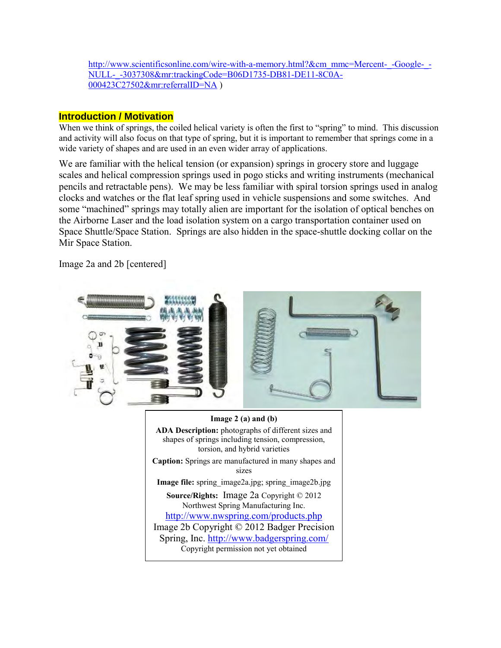[http://www.scientificsonline.com/wire-with-a-memory.html?&cm\\_mmc=Mercent-\\_-Google-\\_-](http://www.scientificsonline.com/wire-with-a-memory.html?&cm_mmc=Mercent-_-Google-_-NULL-_-3037308&mr:trackingCode=B06D1735-DB81-DE11-8C0A-000423C27502&mr:referralID=NA) [NULL-\\_-3037308&mr:trackingCode=B06D1735-DB81-DE11-8C0A-](http://www.scientificsonline.com/wire-with-a-memory.html?&cm_mmc=Mercent-_-Google-_-NULL-_-3037308&mr:trackingCode=B06D1735-DB81-DE11-8C0A-000423C27502&mr:referralID=NA)[000423C27502&mr:referralID=NA](http://www.scientificsonline.com/wire-with-a-memory.html?&cm_mmc=Mercent-_-Google-_-NULL-_-3037308&mr:trackingCode=B06D1735-DB81-DE11-8C0A-000423C27502&mr:referralID=NA) )

## **Introduction / Motivation**

When we think of springs, the coiled helical variety is often the first to "spring" to mind. This discussion and activity will also focus on that type of spring, but it is important to remember that springs come in a wide variety of shapes and are used in an even wider array of applications.

We are familiar with the helical tension (or expansion) springs in grocery store and luggage scales and helical compression springs used in pogo sticks and writing instruments (mechanical pencils and retractable pens). We may be less familiar with spiral torsion springs used in analog clocks and watches or the flat leaf spring used in vehicle suspensions and some switches. And some "machined" springs may totally alien are important for the isolation of optical benches on the Airborne Laser and the load isolation system on a cargo transportation container used on Space Shuttle/Space Station. Springs are also hidden in the space-shuttle docking collar on the Mir Space Station.

Image 2a and 2b [centered]

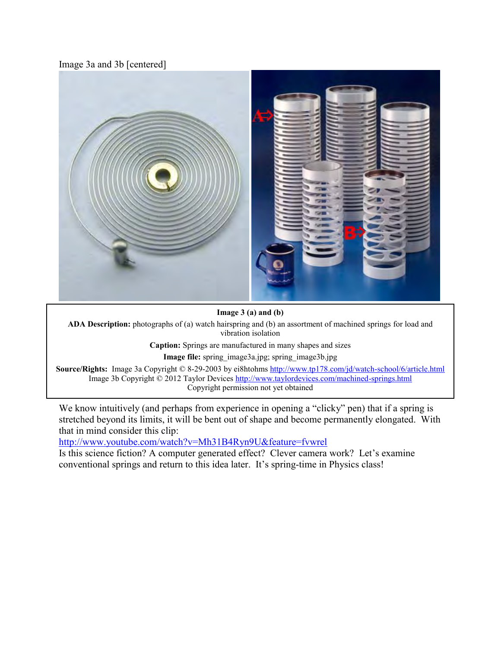Image 3a and 3b [centered]



**Image 3 (a) and (b)**

**ADA Description:** photographs of (a) watch hairspring and (b) an assortment of machined springs for load and vibration isolation

**Caption:** Springs are manufactured in many shapes and sizes

**Image file:** spring\_image3a.jpg; spring\_image3b.jpg

**Source/Rights:** Image 3a Copyright © 8-29-2003 by ei8htohms<http://www.tp178.com/jd/watch-school/6/article.html> Image 3b Copyright © 2012 Taylor Devices<http://www.taylordevices.com/machined-springs.html> Copyright permission not yet obtained

We know intuitively (and perhaps from experience in opening a "clicky" pen) that if a spring is stretched beyond its limits, it will be bent out of shape and become permanently elongated. With that in mind consider this clip:

<http://www.youtube.com/watch?v=Mh31B4Ryn9U&feature=fvwrel>

Is this science fiction? A computer generated effect? Clever camera work? Let's examine conventional springs and return to this idea later. It's spring-time in Physics class!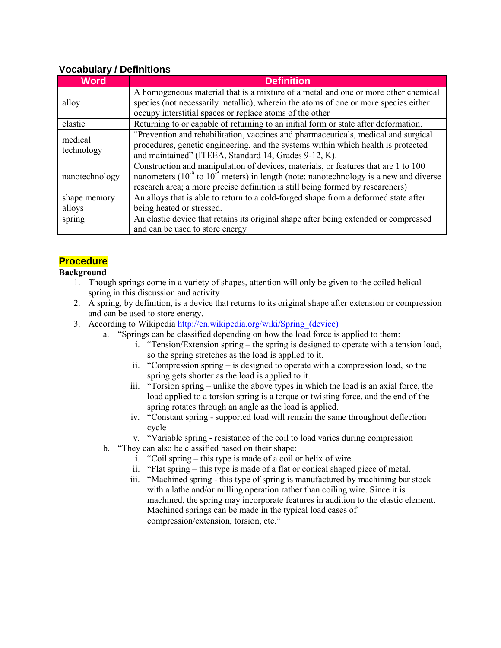| <b>Word</b>           | <b>Definition</b>                                                                               |  |  |  |  |
|-----------------------|-------------------------------------------------------------------------------------------------|--|--|--|--|
| alloy                 | A homogeneous material that is a mixture of a metal and one or more other chemical              |  |  |  |  |
|                       | species (not necessarily metallic), wherein the atoms of one or more species either             |  |  |  |  |
|                       | occupy interstitial spaces or replace atoms of the other                                        |  |  |  |  |
| elastic               | Returning to or capable of returning to an initial form or state after deformation.             |  |  |  |  |
| medical<br>technology | "Prevention and rehabilitation, vaccines and pharmaceuticals, medical and surgical              |  |  |  |  |
|                       | procedures, genetic engineering, and the systems within which health is protected               |  |  |  |  |
|                       | and maintained" (ITEEA, Standard 14, Grades 9-12, K).                                           |  |  |  |  |
| nanotechnology        | Construction and manipulation of devices, materials, or features that are 1 to 100              |  |  |  |  |
|                       | nanometers $(10^{-9}$ to $10^{-5}$ meters) in length (note: nanotechnology is a new and diverse |  |  |  |  |
|                       | research area; a more precise definition is still being formed by researchers)                  |  |  |  |  |
| shape memory          | An alloys that is able to return to a cold-forged shape from a deformed state after             |  |  |  |  |
| alloys                | being heated or stressed.                                                                       |  |  |  |  |
| spring                | An elastic device that retains its original shape after being extended or compressed            |  |  |  |  |
|                       | and can be used to store energy                                                                 |  |  |  |  |

## **Vocabulary / Definitions**

## **Procedure**

### **Background**

- 1. Though springs come in a variety of shapes, attention will only be given to the coiled helical spring in this discussion and activity
- 2. A spring, by definition, is a device that returns to its original shape after extension or compression and can be used to store energy.
- 3. According to Wikipedia http://en.wikipedia.org/wiki/Spring (device)
	- a. "Springs can be classified depending on how the load force is applied to them:
		- i. "Tension/Extension spring the spring is designed to operate with a tension load, so the spring stretches as the load is applied to it.
		- ii. "Compression spring is designed to operate with a compression load, so the spring gets shorter as the load is applied to it.
		- iii. "Torsion spring unlike the above types in which the load is an axial force, the load applied to a torsion spring is a torque or twisting force, and the end of the spring rotates through an angle as the load is applied.
		- iv. "Constant spring supported load will remain the same throughout deflection cycle
		- v. "Variable spring resistance of the coil to load varies during compression
	- b. "They can also be classified based on their shape:
		- i. "Coil spring this type is made of a coil or helix of wire
		- ii. "Flat spring this type is made of a flat or conical shaped piece of metal.
		- iii. "Machined spring this type of spring is manufactured by machining bar stock with a lathe and/or milling operation rather than coiling wire. Since it is machined, the spring may incorporate features in addition to the elastic element. Machined springs can be made in the typical load cases of compression/extension, torsion, etc."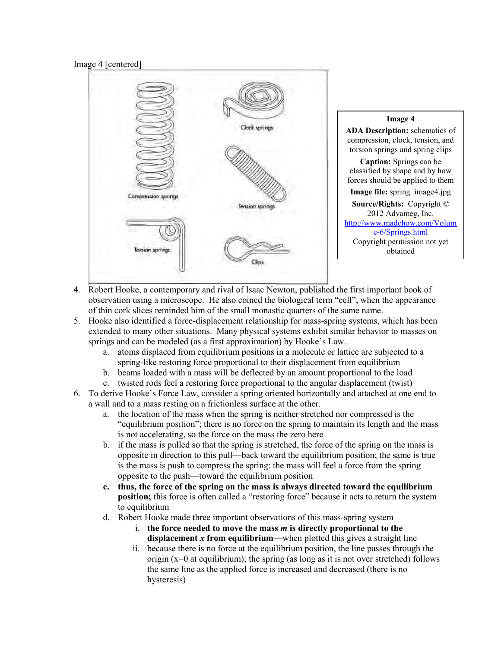#### Image 4 [centered]



- 4. Robert Hooke, a contemporary and rival of Isaac Newton, published the first important book of observation using a microscope. He also coined the biological term "cell", when the appearance of thin cork slices reminded him of the small monastic quarters of the same name.
- 5. Hooke also identified a force-displacement relationship for mass-spring systems, which has been extended to many other situations. Many physical systems exhibit similar behavior to masses on springs and can be modeled (as a first approximation) by Hooke's Law.
	- a. atoms displaced from equilibrium positions in a molecule or lattice are subjected to a spring-like restoring force proportional to their displacement from equilibrium
	- b. beams loaded with a mass will be deflected by an amount proportional to the load
	- c. twisted rods feel a restoring force proportional to the angular displacement (twist)
- 6. To derive Hooke's Force Law, consider a spring oriented horizontally and attached at one end to a wall and to a mass resting on a frictionless surface at the other.
	- a. the location of the mass when the spring is neither stretched nor compressed is the "equilibrium position"; there is no force on the spring to maintain its length and the mass is not accelerating, so the force on the mass the zero here
	- b. if the mass is pulled so that the spring is stretched, the force of the spring on the mass is opposite in direction to this pull—back toward the equilibrium position; the same is true is the mass is push to compress the spring: the mass will feel a force from the spring opposite to the push—toward the equilibrium position
	- **c. thus, the force of the spring on the mass is always directed toward the equilibrium position;** this force is often called a "restoring force" because it acts to return the system to equilibrium
	- d. Robert Hooke made three important observations of this mass-spring system
		- i. **the force needed to move the mass** *m* **is directly proportional to the displacement** *x* **from equilibrium**—when plotted this gives a straight line
		- ii. because there is no force at the equilibrium position, the line passes through the origin (x=0 at equilibrium); the spring (as long as it is not over stretched) follows the same line as the applied force is increased and decreased (there is no hysteresis)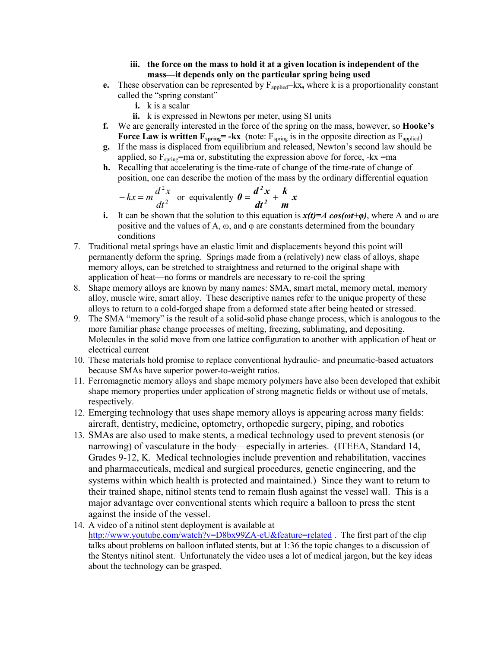#### **iii. the force on the mass to hold it at a given location is independent of the mass—it depends only on the particular spring being used**

- **e.** These observation can be represented by  $F_{\text{applied}} = kx$ , where k is a proportionality constant called the "spring constant"
	- **i.** k is a scalar
	- **ii.** k is expressed in Newtons per meter, using SI units
- **f.** We are generally interested in the force of the spring on the mass, however, so **Hooke's Force Law is written**  $\mathbf{F}_{\text{spring}} = -k\mathbf{x}$  **(note:**  $\mathbf{F}_{\text{spring}}$  **is in the opposite direction as**  $\mathbf{F}_{\text{applied}}$ **)**
- **g.** If the mass is displaced from equilibrium and released, Newton's second law should be applied, so  $F_{spring}$ =ma or, substituting the expression above for force, -kx =ma
- **h.** Recalling that accelerating is the time-rate of change of the time-rate of change of position, one can describe the motion of the mass by the ordinary differential equation

$$
-kx = m\frac{d^2x}{dt^2}
$$
 or equivalently  $\theta = \frac{d^2x}{dt^2} + \frac{k}{m}x$ 

- **i.** It can be shown that the solution to this equation is  $x(t)=A \cos(\omega t+\varphi)$ , where A and  $\omega$  are positive and the values of A,  $\omega$ , and  $\varphi$  are constants determined from the boundary conditions
- 7. Traditional metal springs have an elastic limit and displacements beyond this point will permanently deform the spring. Springs made from a (relatively) new class of alloys, shape memory alloys, can be stretched to straightness and returned to the original shape with application of heat—no forms or mandrels are necessary to re-coil the spring
- 8. Shape memory alloys are known by many names: SMA, smart metal, memory metal, memory alloy, muscle wire, smart alloy. These descriptive names refer to the unique property of these alloys to return to a cold-forged shape from a deformed state after being heated or stressed.
- 9. The SMA "memory" is the result of a solid-solid phase change process, which is analogous to the more familiar phase change processes of melting, freezing, sublimating, and depositing. Molecules in the solid move from one lattice configuration to another with application of heat or electrical current
- 10. These materials hold promise to replace conventional hydraulic- and pneumatic-based actuators because SMAs have superior power-to-weight ratios.
- 11. Ferromagnetic memory alloys and shape memory polymers have also been developed that exhibit shape memory properties under application of strong magnetic fields or without use of metals, respectively.
- 12. Emerging technology that uses shape memory alloys is appearing across many fields: aircraft, dentistry, medicine, optometry, orthopedic surgery, piping, and robotics
- 13. SMAs are also used to make stents, a medical technology used to prevent stenosis (or narrowing) of vasculature in the body—especially in arteries. (ITEEA, Standard 14, Grades 9-12, K. Medical technologies include prevention and rehabilitation, vaccines and pharmaceuticals, medical and surgical procedures, genetic engineering, and the systems within which health is protected and maintained.) Since they want to return to their trained shape, nitinol stents tend to remain flush against the vessel wall. This is a major advantage over conventional stents which require a balloon to press the stent against the inside of the vessel.
- 14. A video of a nitinol stent deployment is available at <http://www.youtube.com/watch?v=D8bx99ZA-eU&feature=related>. The first part of the clip talks about problems on balloon inflated stents, but at 1:36 the topic changes to a discussion of the Stentys nitinol stent. Unfortunately the video uses a lot of medical jargon, but the key ideas about the technology can be grasped.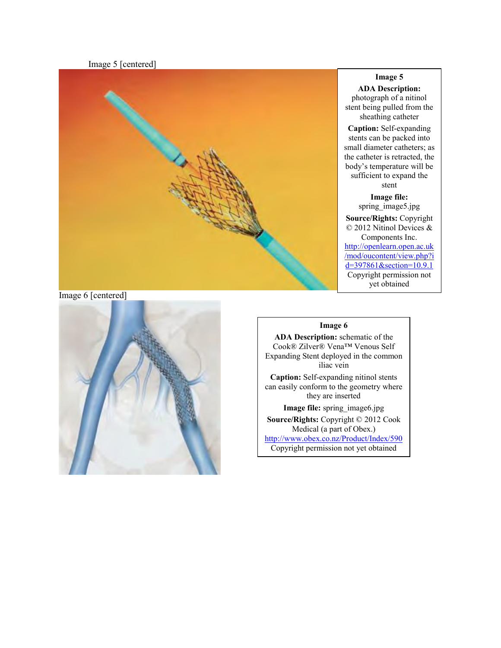Image 5 [centered]



#### **Image 5**

**ADA Description:** photograph of a nitinol stent being pulled from the sheathing catheter

**Caption:** Self-expanding stents can be packed into small diameter catheters; as the catheter is retracted, the body's temperature will be sufficient to expand the stent

**Image file:**  spring\_image5.jpg **Source/Rights:** Copyright © 2012 Nitinol Devices & Components Inc. [http://openlearn.open.ac.uk](http://openlearn.open.ac.uk/mod/oucontent/view.php?id=397861§ion=10.9.1) [/mod/oucontent/view.php?i](http://openlearn.open.ac.uk/mod/oucontent/view.php?id=397861§ion=10.9.1)  $d=397861$ &section=10.9.1 Copyright permission not yet obtained

#### Image 6 [centered]



#### **Image 6**

**ADA Description:** schematic of the Cook® Zilver® Vena™ Venous Self Expanding Stent deployed in the common iliac vein **Caption:** Self-expanding nitinol stents can easily conform to the geometry where they are inserted **Image file:** spring\_image6.jpg **Source/Rights:** Copyright © 2012 Cook Medical (a part of Obex.) <http://www.obex.co.nz/Product/Index/590> Copyright permission not yet obtained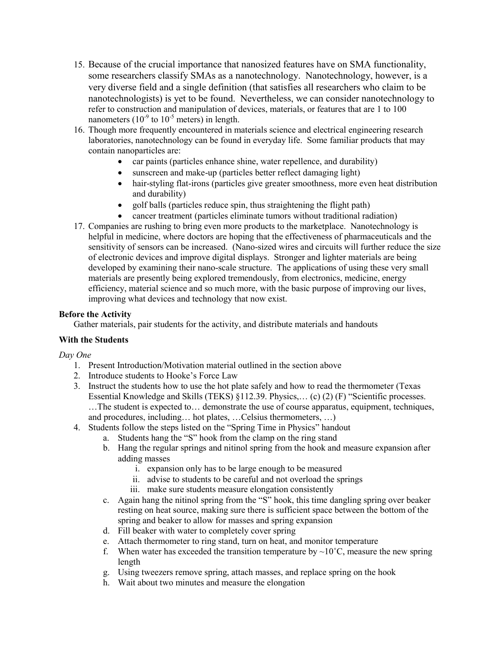- 15. Because of the crucial importance that nanosized features have on SMA functionality, some researchers classify SMAs as a nanotechnology. Nanotechnology, however, is a very diverse field and a single definition (that satisfies all researchers who claim to be nanotechnologists) is yet to be found. Nevertheless, we can consider nanotechnology to refer to construction and manipulation of devices, materials, or features that are 1 to 100 nanometers  $(10^{-9}$  to  $10^{-5}$  meters) in length.
- 16. Though more frequently encountered in materials science and electrical engineering research laboratories, nanotechnology can be found in everyday life. Some familiar products that may contain nanoparticles are:
	- car paints (particles enhance shine, water repellence, and durability)
	- sunscreen and make-up (particles better reflect damaging light)
	- hair-styling flat-irons (particles give greater smoothness, more even heat distribution and durability)
	- golf balls (particles reduce spin, thus straightening the flight path)
	- cancer treatment (particles eliminate tumors without traditional radiation)
- 17. Companies are rushing to bring even more products to the marketplace. Nanotechnology is helpful in medicine, where doctors are hoping that the effectiveness of pharmaceuticals and the sensitivity of sensors can be increased. (Nano-sized wires and circuits will further reduce the size of electronic devices and improve digital displays. Stronger and lighter materials are being developed by examining their nano-scale structure. The applications of using these very small materials are presently being explored tremendously, from electronics, medicine, energy efficiency, material science and so much more, with the basic purpose of improving our lives, improving what devices and technology that now exist.

#### **Before the Activity**

Gather materials, pair students for the activity, and distribute materials and handouts

### **With the Students**

*Day One* 

- 1. Present Introduction/Motivation material outlined in the section above
- 2. Introduce students to Hooke's Force Law
- 3. Instruct the students how to use the hot plate safely and how to read the thermometer (Texas Essential Knowledge and Skills (TEKS) §112.39. Physics,… (c) (2) (F) "Scientific processes. …The student is expected to… demonstrate the use of course apparatus, equipment, techniques, and procedures, including… hot plates, …Celsius thermometers, …)
- 4. Students follow the steps listed on the "Spring Time in Physics" handout
	- a. Students hang the "S" hook from the clamp on the ring stand
	- b. Hang the regular springs and nitinol spring from the hook and measure expansion after adding masses
		- i. expansion only has to be large enough to be measured
		- ii. advise to students to be careful and not overload the springs
		- iii. make sure students measure elongation consistently
	- c. Again hang the nitinol spring from the "S" hook, this time dangling spring over beaker resting on heat source, making sure there is sufficient space between the bottom of the spring and beaker to allow for masses and spring expansion
	- d. Fill beaker with water to completely cover spring
	- e. Attach thermometer to ring stand, turn on heat, and monitor temperature
	- f. When water has exceeded the transition temperature by  $\sim 10^{\circ}$ C, measure the new spring length
	- g. Using tweezers remove spring, attach masses, and replace spring on the hook
	- h. Wait about two minutes and measure the elongation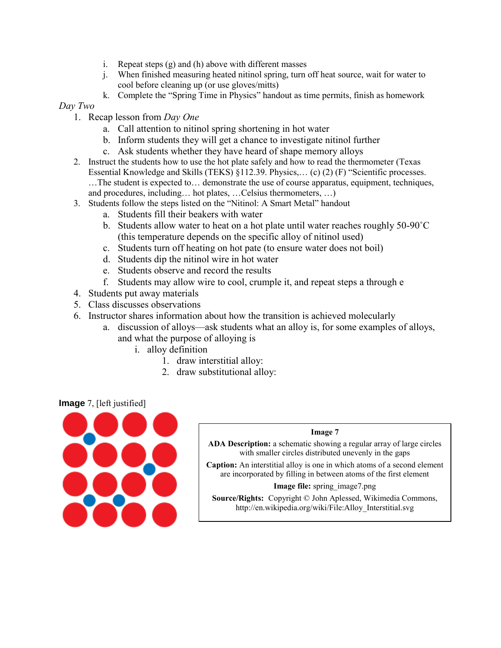- i. Repeat steps (g) and (h) above with different masses
- j. When finished measuring heated nitinol spring, turn off heat source, wait for water to cool before cleaning up (or use gloves/mitts)
- k. Complete the "Spring Time in Physics" handout as time permits, finish as homework

### *Day Two*

- 1. Recap lesson from *Day One*
	- a. Call attention to nitinol spring shortening in hot water
	- b. Inform students they will get a chance to investigate nitinol further
	- c. Ask students whether they have heard of shape memory alloys
- 2. Instruct the students how to use the hot plate safely and how to read the thermometer (Texas Essential Knowledge and Skills (TEKS) §112.39. Physics,… (c) (2) (F) "Scientific processes. …The student is expected to… demonstrate the use of course apparatus, equipment, techniques, and procedures, including… hot plates, …Celsius thermometers, …)
- 3. Students follow the steps listed on the "Nitinol: A Smart Metal" handout
	- a. Students fill their beakers with water
	- b. Students allow water to heat on a hot plate until water reaches roughly 50-90˚C (this temperature depends on the specific alloy of nitinol used)
	- c. Students turn off heating on hot pate (to ensure water does not boil)
	- d. Students dip the nitinol wire in hot water
	- e. Students observe and record the results
	- f. Students may allow wire to cool, crumple it, and repeat steps a through e
- 4. Students put away materials
- 5. Class discusses observations
- 6. Instructor shares information about how the transition is achieved molecularly
	- a. discussion of alloys—ask students what an alloy is, for some examples of alloys, and what the purpose of alloying is
		- i. alloy definition
			- 1. draw interstitial alloy:
			- 2. draw substitutional alloy:

#### **Image** 7, [left justified]



#### **Image 7**

**ADA Description:** a schematic showing a regular array of large circles with smaller circles distributed unevenly in the gaps

**Caption:** An interstitial alloy is one in which atoms of a second element are incorporated by filling in between atoms of the first element

#### **Image file:** spring\_image7.png

**Source/Rights:** Copyright © John Aplessed, Wikimedia Commons, http://en.wikipedia.org/wiki/File:Alloy\_Interstitial.svg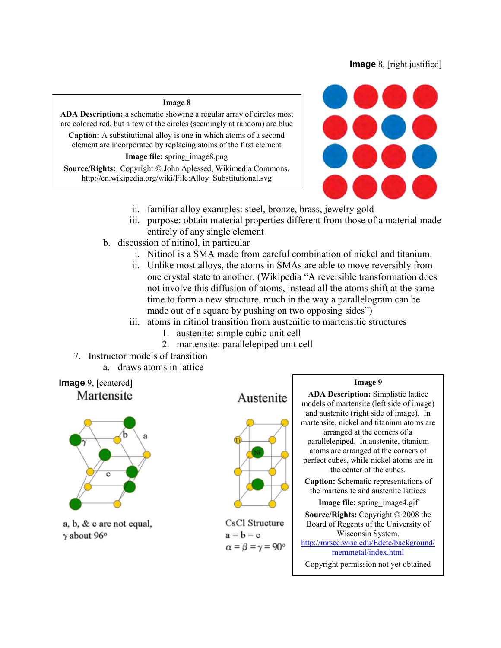## **Image** 8, [right justified]

#### **Image 8**

**ADA Description:** a schematic showing a regular array of circles most are colored red, but a few of the circles (seemingly at random) are blue

**Caption:** A substitutional alloy is one in which atoms of a second element are incorporated by replacing atoms of the first element

#### **Image file:** spring\_image8.png

**Source/Rights:** Copyright © John Aplessed, Wikimedia Commons, http://en.wikipedia.org/wiki/File:Alloy\_Substitutional.svg



- ii. familiar alloy examples: steel, bronze, brass, jewelry gold
- iii. purpose: obtain material properties different from those of a material made entirely of any single element
- b. discussion of nitinol, in particular
	- i. Nitinol is a SMA made from careful combination of nickel and titanium.
	- ii. Unlike most alloys, the atoms in SMAs are able to move reversibly from one crystal state to another. (Wikipedia "A reversible transformation does not involve this diffusion of atoms, instead all the atoms shift at the same time to form a new structure, much in the way a parallelogram can be made out of a square by pushing on two opposing sides")
	- iii. atoms in nitinol transition from austenitic to martensitic structures
		- 1. austenite: simple cubic unit cell
		- 2. martensite: parallelepiped unit cell
- 7. Instructor models of transition
	- a. draws atoms in lattice





a, b, & c are not equal,  $\gamma$  about 96 $\circ$ 

Austenite



CsCl Structure  $a = b = c$  $\alpha = \beta = \gamma = 90^{\circ}$ 

#### **Image 9**

**ADA Description:** Simplistic lattice models of martensite (left side of image) and austenite (right side of image). In martensite, nickel and titanium atoms are arranged at the corners of a parallelepiped. In austenite, titanium atoms are arranged at the corners of perfect cubes, while nickel atoms are in the center of the cubes. **Caption:** Schematic representations of the martensite and austenite lattices **Image file:** spring\_image4.gif

**Source/Rights:** Copyright © 2008 the Board of Regents of the University of Wisconsin System. [http://mrsec.wisc.edu/Edetc/background/](http://mrsec.wisc.edu/Edetc/background/memmetal/index.html) [memmetal/index.html](http://mrsec.wisc.edu/Edetc/background/memmetal/index.html)

Copyright permission not yet obtained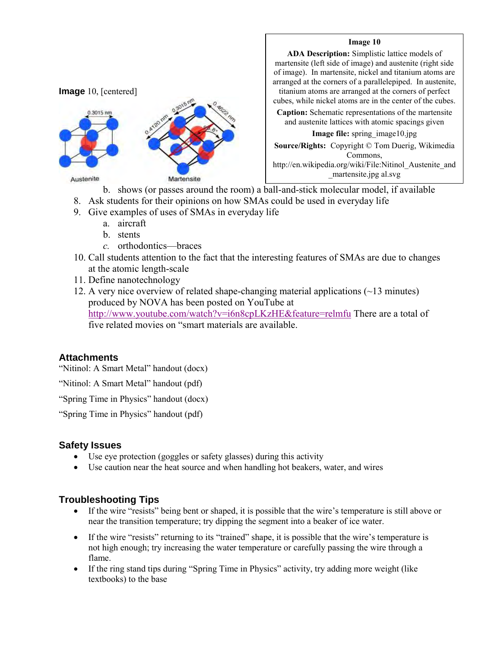

#### **Image 10**

**ADA Description:** Simplistic lattice models of martensite (left side of image) and austenite (right side of image). In martensite, nickel and titanium atoms are arranged at the corners of a parallelepiped. In austenite, titanium atoms are arranged at the corners of perfect

cubes, while nickel atoms are in the center of the cubes.

**Caption:** Schematic representations of the martensite and austenite lattices with atomic spacings given

**Image file:** spring\_image10.jpg

**Source/Rights:** Copyright © Tom Duerig, Wikimedia Commons, http://en.wikipedia.org/wiki/File:Nitinol\_Austenite\_and \_martensite.jpg al.svg

b. shows (or passes around the room) a ball-and-stick molecular model, if available

- 8. Ask students for their opinions on how SMAs could be used in everyday life
- 9. Give examples of uses of SMAs in everyday life
	- a. aircraft
	- b. stents
	- *c.* orthodontics—braces
- 10. Call students attention to the fact that the interesting features of SMAs are due to changes at the atomic length-scale
- 11. Define nanotechnology
- 12. A very nice overview of related shape-changing material applications (~13 minutes) produced by NOVA has been posted on YouTube at <http://www.youtube.com/watch?v=i6n8cpLKzHE&feature=relmfu> There are a total of five related movies on "smart materials are available.

## **Attachments**

"Nitinol: A Smart Metal" handout (docx)

"Nitinol: A Smart Metal" handout (pdf)

"Spring Time in Physics" handout (docx)

"Spring Time in Physics" handout (pdf)

### **Safety Issues**

- Use eye protection (goggles or safety glasses) during this activity
- Use caution near the heat source and when handling hot beakers, water, and wires

## **Troubleshooting Tips**

- If the wire "resists" being bent or shaped, it is possible that the wire's temperature is still above or near the transition temperature; try dipping the segment into a beaker of ice water.
- If the wire "resists" returning to its "trained" shape, it is possible that the wire's temperature is not high enough; try increasing the water temperature or carefully passing the wire through a flame.
- If the ring stand tips during "Spring Time in Physics" activity, try adding more weight (like textbooks) to the base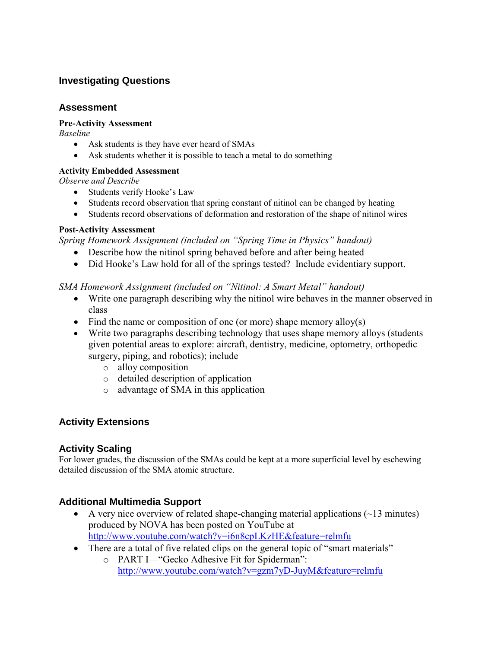## **Investigating Questions**

## **Assessment**

## **Pre-Activity Assessment**

*Baseline* 

- Ask students is they have ever heard of SMAs
- Ask students whether it is possible to teach a metal to do something

## **Activity Embedded Assessment**

*Observe and Describe* 

- Students verify Hooke's Law
- Students record observation that spring constant of nitinol can be changed by heating
- Students record observations of deformation and restoration of the shape of nitinol wires

## **Post-Activity Assessment**

*Spring Homework Assignment (included on "Spring Time in Physics" handout)* 

- Describe how the nitinol spring behaved before and after being heated
- Did Hooke's Law hold for all of the springs tested? Include evidentiary support.

## *SMA Homework Assignment (included on "Nitinol: A Smart Metal" handout)*

- Write one paragraph describing why the nitinol wire behaves in the manner observed in class
- $\bullet$  Find the name or composition of one (or more) shape memory alloy(s)
- Write two paragraphs describing technology that uses shape memory alloys (students given potential areas to explore: aircraft, dentistry, medicine, optometry, orthopedic surgery, piping, and robotics); include
	- o alloy composition
	- o detailed description of application
	- o advantage of SMA in this application

## **Activity Extensions**

## **Activity Scaling**

For lower grades, the discussion of the SMAs could be kept at a more superficial level by eschewing detailed discussion of the SMA atomic structure.

## **Additional Multimedia Support**

- A very nice overview of related shape-changing material applications  $(\sim 13 \text{ minutes})$ produced by NOVA has been posted on YouTube at <http://www.youtube.com/watch?v=i6n8cpLKzHE&feature=relmfu>
- There are a total of five related clips on the general topic of "smart materials"
	- o PART I—"Gecko Adhesive Fit for Spiderman": <http://www.youtube.com/watch?v=gzm7yD-JuyM&feature=relmfu>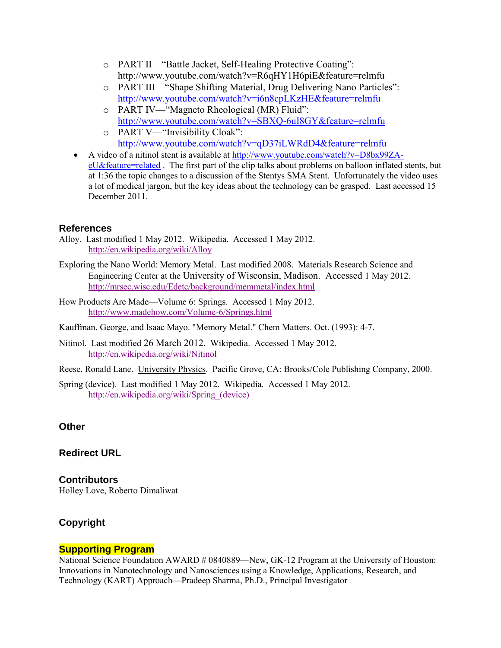- o PART II—"Battle Jacket, Self-Healing Protective Coating": http://www.youtube.com/watch?v=R6qHY1H6piE&feature=relmfu
- o PART III—"Shape Shifting Material, Drug Delivering Nano Particles": <http://www.youtube.com/watch?v=i6n8cpLKzHE&feature=relmfu>
- o PART IV—"Magneto Rheological (MR) Fluid": <http://www.youtube.com/watch?v=SBXQ-6uI8GY&feature=relmfu>
- o PART V—"Invisibility Cloak": <http://www.youtube.com/watch?v=qD37iLWRdD4&feature=relmfu>
- A video of a nitinol stent is available at [http://www.youtube.com/watch?v=D8bx99ZA](http://www.youtube.com/watch?v=D8bx99ZA-eU&feature=related)[eU&feature=related](http://www.youtube.com/watch?v=D8bx99ZA-eU&feature=related) . The first part of the clip talks about problems on balloon inflated stents, but at 1:36 the topic changes to a discussion of the Stentys SMA Stent. Unfortunately the video uses a lot of medical jargon, but the key ideas about the technology can be grasped. Last accessed 15 December 2011.

## **References**

- Alloy. Last modified 1 May 2012. Wikipedia. Accessed 1 May 2012. <http://en.wikipedia.org/wiki/Alloy>
- Exploring the Nano World: Memory Metal. Last modified 2008. Materials Research Science and Engineering Center at the University of Wisconsin, Madison. Accessed 1 May 2012. <http://mrsec.wisc.edu/Edetc/background/memmetal/index.html>
- How Products Are Made—Volume 6: Springs. Accessed 1 May 2012. <http://www.madehow.com/Volume-6/Springs.html>
- Kauffman, George, and Isaac Mayo. "Memory Metal." Chem Matters. Oct. (1993): 4-7.
- Nitinol. Last modified 26 March 2012. Wikipedia. Accessed 1 May 2012. <http://en.wikipedia.org/wiki/Nitinol>
- Reese, Ronald Lane. University Physics. Pacific Grove, CA: Brooks/Cole Publishing Company, 2000.
- Spring (device). Last modified 1 May 2012. Wikipedia. Accessed 1 May 2012. [http://en.wikipedia.org/wiki/Spring\\_\(device\)](http://en.wikipedia.org/wiki/Spring_(device))

## **Other**

## **Redirect URL**

**Contributors**  Holley Love, Roberto Dimaliwat

## **Copyright**

## **Supporting Program**

National Science Foundation AWARD # 0840889—New, GK-12 Program at the University of Houston: Innovations in Nanotechnology and Nanosciences using a Knowledge, Applications, Research, and Technology (KART) Approach—Pradeep Sharma, Ph.D., Principal Investigator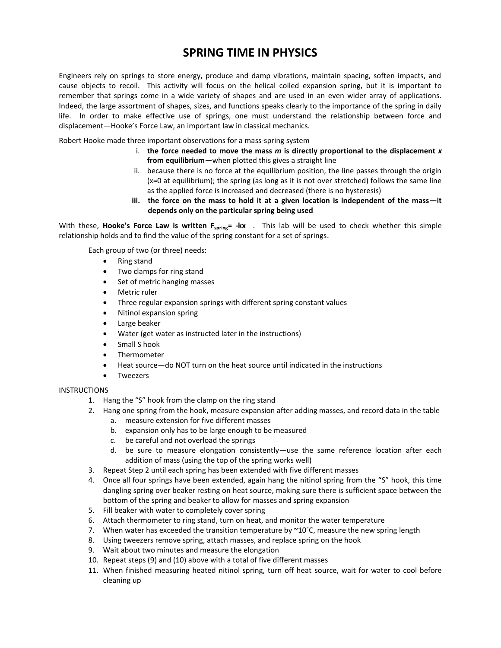## **SPRING TIME IN PHYSICS**

Engineers rely on springs to store energy, produce and damp vibrations, maintain spacing, soften impacts, and cause objects to recoil. This activity will focus on the helical coiled expansion spring, but it is important to remember that springs come in a wide variety of shapes and are used in an even wider array of applications. Indeed, the large assortment of shapes, sizes, and functions speaks clearly to the importance of the spring in daily life. In order to make effective use of springs, one must understand the relationship between force and displacement—Hooke's Force Law, an important law in classical mechanics.

Robert Hooke made three important observations for a mass-spring system

- i. **the force needed to move the mass** *m* **is directly proportional to the displacement** *x* **from equilibrium**—when plotted this gives a straight line
- ii. because there is no force at the equilibrium position, the line passes through the origin (x=0 at equilibrium); the spring (as long as it is not over stretched) follows the same line as the applied force is increased and decreased (there is no hysteresis)
- **iii. the force on the mass to hold it at a given location is independent of the mass—it depends only on the particular spring being used**

With these, **Hooke's Force Law is written F<sub>spring</sub>= -kx** . This lab will be used to check whether this simple relationship holds and to find the value of the spring constant for a set of springs.

Each group of two (or three) needs:

- Ring stand
- Two clamps for ring stand
- Set of metric hanging masses
- Metric ruler
- Three regular expansion springs with different spring constant values
- Nitinol expansion spring
- **•** Large beaker
- Water (get water as instructed later in the instructions)
- Small S hook
- Thermometer
- Heat source—do NOT turn on the heat source until indicated in the instructions
- Tweezers

#### **INSTRUCTIONS**

- 1. Hang the "S" hook from the clamp on the ring stand
- 2. Hang one spring from the hook, measure expansion after adding masses, and record data in the table
	- a. measure extension for five different masses
	- b. expansion only has to be large enough to be measured
	- c. be careful and not overload the springs
	- d. be sure to measure elongation consistently—use the same reference location after each addition of mass (using the top of the spring works well)
- 3. Repeat Step 2 until each spring has been extended with five different masses
- 4. Once all four springs have been extended, again hang the nitinol spring from the "S" hook, this time dangling spring over beaker resting on heat source, making sure there is sufficient space between the bottom of the spring and beaker to allow for masses and spring expansion
- 5. Fill beaker with water to completely cover spring
- 6. Attach thermometer to ring stand, turn on heat, and monitor the water temperature
- 7. When water has exceeded the transition temperature by  $\sim 10^{\circ}$ C, measure the new spring length
- 8. Using tweezers remove spring, attach masses, and replace spring on the hook
- 9. Wait about two minutes and measure the elongation
- 10. Repeat steps (9) and (10) above with a total of five different masses
- 11. When finished measuring heated nitinol spring, turn off heat source, wait for water to cool before cleaning up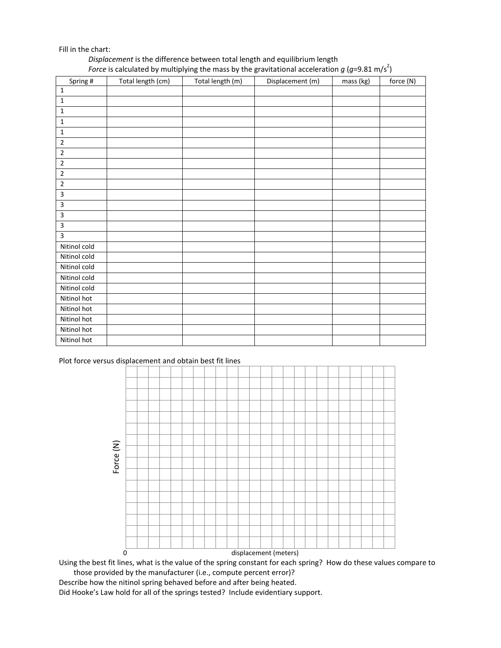#### Fill in the chart:

#### *Displacement* is the difference between total length and equilibrium length Force is calculated by multiplying the mass by the gravitational acceleration  $g$  (g=9.81 m/s<sup>2</sup>)

| Spring #       | Total length (cm) | Total length (m) | Displacement (m) | mass (kg) | force (N) |
|----------------|-------------------|------------------|------------------|-----------|-----------|
| $\mathbf 1$    |                   |                  |                  |           |           |
| $\mathbf 1$    |                   |                  |                  |           |           |
| $\mathbf 1$    |                   |                  |                  |           |           |
| $\mathbf 1$    |                   |                  |                  |           |           |
| $\mathbf 1$    |                   |                  |                  |           |           |
| $\mathbf 2$    |                   |                  |                  |           |           |
| $\overline{2}$ |                   |                  |                  |           |           |
| $\mathbf 2$    |                   |                  |                  |           |           |
| $\mathbf 2$    |                   |                  |                  |           |           |
| $\sqrt{2}$     |                   |                  |                  |           |           |
| 3              |                   |                  |                  |           |           |
| 3              |                   |                  |                  |           |           |
| 3              |                   |                  |                  |           |           |
| 3              |                   |                  |                  |           |           |
| 3              |                   |                  |                  |           |           |
| Nitinol cold   |                   |                  |                  |           |           |
| Nitinol cold   |                   |                  |                  |           |           |
| Nitinol cold   |                   |                  |                  |           |           |
| Nitinol cold   |                   |                  |                  |           |           |
| Nitinol cold   |                   |                  |                  |           |           |
| Nitinol hot    |                   |                  |                  |           |           |
| Nitinol hot    |                   |                  |                  |           |           |
| Nitinol hot    |                   |                  |                  |           |           |
| Nitinol hot    |                   |                  |                  |           |           |
| Nitinol hot    |                   |                  |                  |           |           |

#### Plot force versus displacement and obtain best fit lines



Using the best fit lines, what is the value of the spring constant for each spring? How do these values compare to those provided by the manufacturer (i.e., compute percent error)?

Describe how the nitinol spring behaved before and after being heated. Did Hooke's Law hold for all of the springs tested? Include evidentiary support.